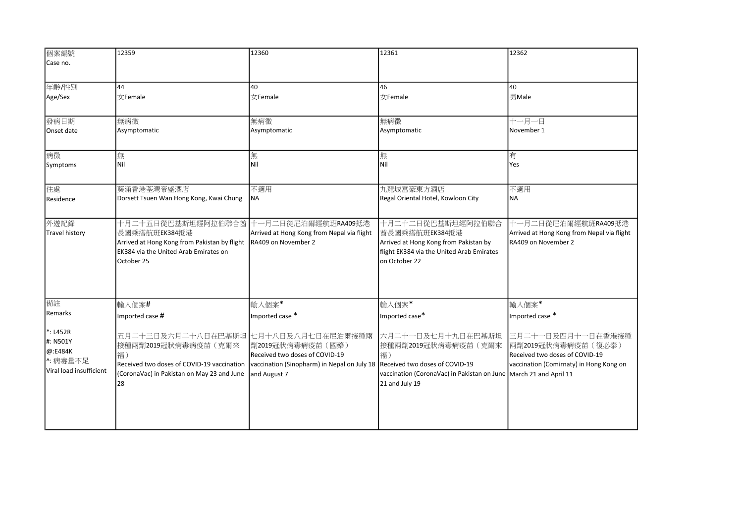| 個案編號                    | 12359                                                         | 12360                                                             | 12361                                                                               | 12362                                                             |
|-------------------------|---------------------------------------------------------------|-------------------------------------------------------------------|-------------------------------------------------------------------------------------|-------------------------------------------------------------------|
| Case no.                |                                                               |                                                                   |                                                                                     |                                                                   |
|                         |                                                               |                                                                   |                                                                                     |                                                                   |
| 年齡/性別                   | 44                                                            | 40                                                                | 46                                                                                  | 40                                                                |
| Age/Sex                 | $\forall$ Female                                              | $\forall$ Female                                                  | 女Female                                                                             | 男Male                                                             |
|                         |                                                               |                                                                   |                                                                                     |                                                                   |
| 發病日期                    | 無病徵                                                           | 無病徵                                                               | 無病徵                                                                                 | 十一月一日                                                             |
| Onset date              | Asymptomatic                                                  | Asymptomatic                                                      | Asymptomatic                                                                        | November 1                                                        |
|                         |                                                               |                                                                   |                                                                                     |                                                                   |
| 病徵                      | 無                                                             | 無                                                                 | 無                                                                                   | 有                                                                 |
| Symptoms                | Nil                                                           | Nil                                                               | Nil                                                                                 | Yes                                                               |
|                         |                                                               |                                                                   |                                                                                     |                                                                   |
| 住處                      | 葵涌香港荃灣帝盛酒店                                                    | 不適用                                                               | 九龍城富豪東方酒店                                                                           | 不適用                                                               |
| Residence               | Dorsett Tsuen Wan Hong Kong, Kwai Chung                       | <b>NA</b>                                                         | Regal Oriental Hotel, Kowloon City                                                  | <b>NA</b>                                                         |
|                         |                                                               |                                                                   |                                                                                     |                                                                   |
| 外遊記錄                    | 十月二十五日從巴基斯坦經阿拉伯聯合酋                                            | 十一月二日從尼泊爾經航班RA409抵港                                               | 十月二十二日從巴基斯坦經阿拉伯聯合                                                                   | 十一月二日從尼泊爾經航班RA409抵港                                               |
| <b>Travel history</b>   | 長國乘搭航班EK384抵港<br>Arrived at Hong Kong from Pakistan by flight | Arrived at Hong Kong from Nepal via flight<br>RA409 on November 2 | 酋長國乘搭航班EK384抵港<br>Arrived at Hong Kong from Pakistan by                             | Arrived at Hong Kong from Nepal via flight<br>RA409 on November 2 |
|                         | EK384 via the United Arab Emirates on                         |                                                                   | flight EK384 via the United Arab Emirates                                           |                                                                   |
|                         | October 25                                                    |                                                                   | on October 22                                                                       |                                                                   |
|                         |                                                               |                                                                   |                                                                                     |                                                                   |
|                         |                                                               |                                                                   |                                                                                     |                                                                   |
|                         |                                                               |                                                                   |                                                                                     |                                                                   |
| 備註<br><b>Remarks</b>    | 輸入個案#                                                         | 輸入個案*                                                             | 輸入個案*                                                                               | 輸入個案*                                                             |
|                         | Imported case #                                               | Imported case *                                                   | Imported case*                                                                      | Imported case *                                                   |
| $*:$ L452R              | 五月二十三日及六月二十八日在巴基斯坦 七月十八日及八月七日在尼泊爾接種兩                          |                                                                   | 六月二十一日及七月十九日在巴基斯坦                                                                   | 三月二十一日及四月十一日在香港接種                                                 |
| #: N501Y                | 接種兩劑2019冠狀病毒病疫苗(克爾來                                           | 劑2019冠狀病毒病疫苗(國藥)                                                  | 接種兩劑2019冠狀病毒病疫苗(克爾來                                                                 | 兩劑2019冠狀病毒病疫苗(復必泰)                                                |
| @:E484K<br>▷:病毒量不足      | 福)                                                            | Received two doses of COVID-19                                    | 福)                                                                                  | Received two doses of COVID-19                                    |
| Viral load insufficient | Received two doses of COVID-19 vaccination                    | vaccination (Sinopharm) in Nepal on July 18                       | Received two doses of COVID-19                                                      | vaccination (Comirnaty) in Hong Kong on                           |
|                         | (CoronaVac) in Pakistan on May 23 and June<br>28              | and August 7                                                      | vaccination (CoronaVac) in Pakistan on June March 21 and April 11<br>21 and July 19 |                                                                   |
|                         |                                                               |                                                                   |                                                                                     |                                                                   |
|                         |                                                               |                                                                   |                                                                                     |                                                                   |
|                         |                                                               |                                                                   |                                                                                     |                                                                   |
|                         |                                                               |                                                                   |                                                                                     |                                                                   |